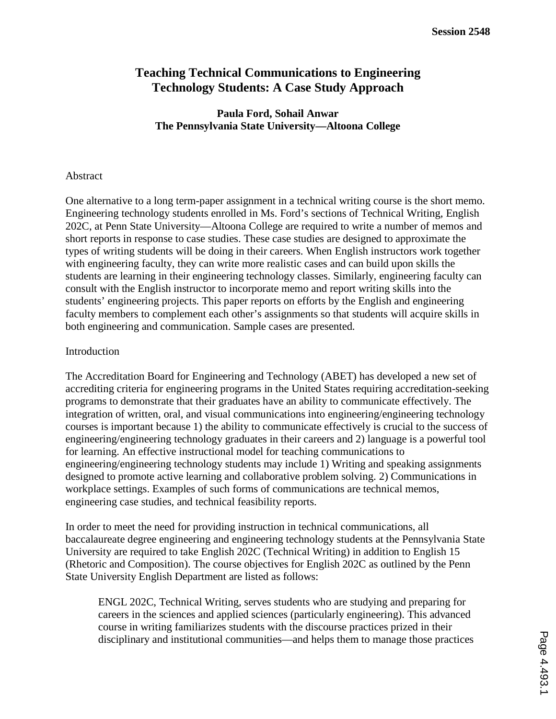# **Teaching Technical Communications to Engineering Technology Students: A Case Study Approach**

**Paula Ford, Sohail Anwar The Pennsylvania State University—Altoona College**

#### Abstract

One alternative to a long term-paper assignment in a technical writing course is the short memo. Engineering technology students enrolled in Ms. Ford's sections of Technical Writing, English 202C, at Penn State University—Altoona College are required to write a number of memos and short reports in response to case studies. These case studies are designed to approximate the types of writing students will be doing in their careers. When English instructors work together with engineering faculty, they can write more realistic cases and can build upon skills the students are learning in their engineering technology classes. Similarly, engineering faculty can consult with the English instructor to incorporate memo and report writing skills into the students' engineering projects. This paper reports on efforts by the English and engineering faculty members to complement each other's assignments so that students will acquire skills in both engineering and communication. Sample cases are presented.

#### **Introduction**

The Accreditation Board for Engineering and Technology (ABET) has developed a new set of accrediting criteria for engineering programs in the United States requiring accreditation-seeking programs to demonstrate that their graduates have an ability to communicate effectively. The integration of written, oral, and visual communications into engineering/engineering technology courses is important because 1) the ability to communicate effectively is crucial to the success of engineering/engineering technology graduates in their careers and 2) language is a powerful tool for learning. An effective instructional model for teaching communications to engineering/engineering technology students may include 1) Writing and speaking assignments designed to promote active learning and collaborative problem solving. 2) Communications in workplace settings. Examples of such forms of communications are technical memos, engineering case studies, and technical feasibility reports.

In order to meet the need for providing instruction in technical communications, all baccalaureate degree engineering and engineering technology students at the Pennsylvania State University are required to take English 202C (Technical Writing) in addition to English 15 (Rhetoric and Composition). The course objectives for English 202C as outlined by the Penn State University English Department are listed as follows:

ENGL 202C, Technical Writing, serves students who are studying and preparing for careers in the sciences and applied sciences (particularly engineering). This advanced course in writing familiarizes students with the discourse practices prized in their disciplinary and institutional communities—and helps them to manage those practices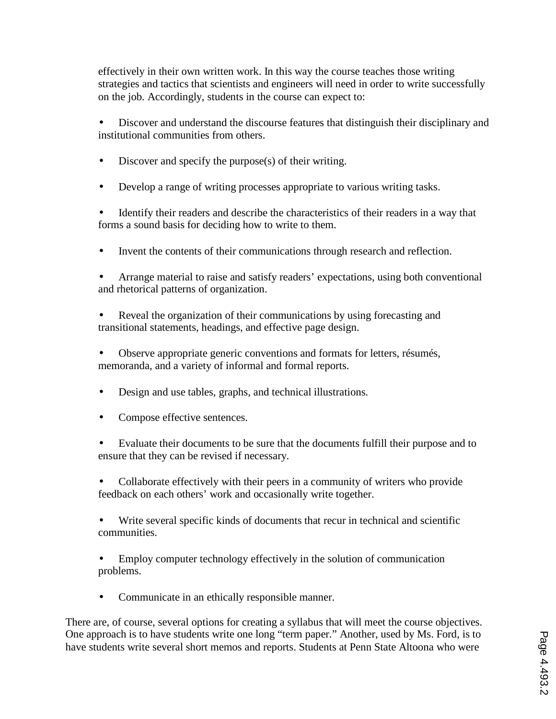effectively in their own written work. In this way the course teaches those writing strategies and tactics that scientists and engineers will need in order to write successfully on the job. Accordingly, students in the course can expect to:

• Discover and understand the discourse features that distinguish their disciplinary and institutional communities from others.

- Discover and specify the purpose(s) of their writing.
- Develop a range of writing processes appropriate to various writing tasks.

• Identify their readers and describe the characteristics of their readers in a way that forms a sound basis for deciding how to write to them.

• Invent the contents of their communications through research and reflection.

• Arrange material to raise and satisfy readers' expectations, using both conventional and rhetorical patterns of organization.

• Reveal the organization of their communications by using forecasting and transitional statements, headings, and effective page design.

- Observe appropriate generic conventions and formats for letters, résumés, memoranda, and a variety of informal and formal reports.
- Design and use tables, graphs, and technical illustrations.
- Compose effective sentences.

• Evaluate their documents to be sure that the documents fulfill their purpose and to ensure that they can be revised if necessary.

• Collaborate effectively with their peers in a community of writers who provide feedback on each others' work and occasionally write together.

Write several specific kinds of documents that recur in technical and scientific communities.

• Employ computer technology effectively in the solution of communication problems.

Communicate in an ethically responsible manner.

There are, of course, several options for creating a syllabus that will meet the course objectives. One approach is to have students write one long "term paper." Another, used by Ms. Ford, is to have students write several short memos and reports. Students at Penn State Altoona who were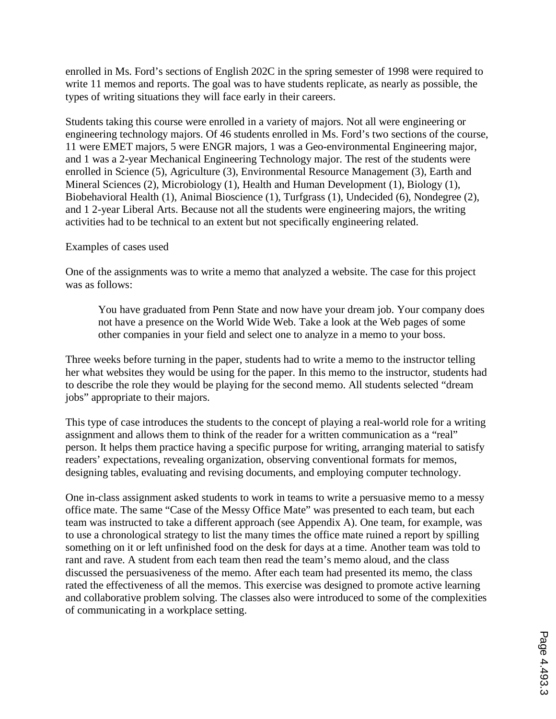enrolled in Ms. Ford's sections of English 202C in the spring semester of 1998 were required to write 11 memos and reports. The goal was to have students replicate, as nearly as possible, the types of writing situations they will face early in their careers.

Students taking this course were enrolled in a variety of majors. Not all were engineering or engineering technology majors. Of 46 students enrolled in Ms. Ford's two sections of the course, 11 were EMET majors, 5 were ENGR majors, 1 was a Geo-environmental Engineering major, and 1 was a 2-year Mechanical Engineering Technology major. The rest of the students were enrolled in Science (5), Agriculture (3), Environmental Resource Management (3), Earth and Mineral Sciences (2), Microbiology (1), Health and Human Development (1), Biology (1), Biobehavioral Health (1), Animal Bioscience (1), Turfgrass (1), Undecided (6), Nondegree (2), and 1 2-year Liberal Arts. Because not all the students were engineering majors, the writing activities had to be technical to an extent but not specifically engineering related.

#### Examples of cases used

One of the assignments was to write a memo that analyzed a website. The case for this project was as follows:

You have graduated from Penn State and now have your dream job. Your company does not have a presence on the World Wide Web. Take a look at the Web pages of some other companies in your field and select one to analyze in a memo to your boss.

Three weeks before turning in the paper, students had to write a memo to the instructor telling her what websites they would be using for the paper. In this memo to the instructor, students had to describe the role they would be playing for the second memo. All students selected "dream jobs" appropriate to their majors.

This type of case introduces the students to the concept of playing a real-world role for a writing assignment and allows them to think of the reader for a written communication as a "real" person. It helps them practice having a specific purpose for writing, arranging material to satisfy readers' expectations, revealing organization, observing conventional formats for memos, designing tables, evaluating and revising documents, and employing computer technology.

One in-class assignment asked students to work in teams to write a persuasive memo to a messy office mate. The same "Case of the Messy Office Mate" was presented to each team, but each team was instructed to take a different approach (see Appendix A). One team, for example, was to use a chronological strategy to list the many times the office mate ruined a report by spilling something on it or left unfinished food on the desk for days at a time. Another team was told to rant and rave. A student from each team then read the team's memo aloud, and the class discussed the persuasiveness of the memo. After each team had presented its memo, the class rated the effectiveness of all the memos. This exercise was designed to promote active learning and collaborative problem solving. The classes also were introduced to some of the complexities of communicating in a workplace setting.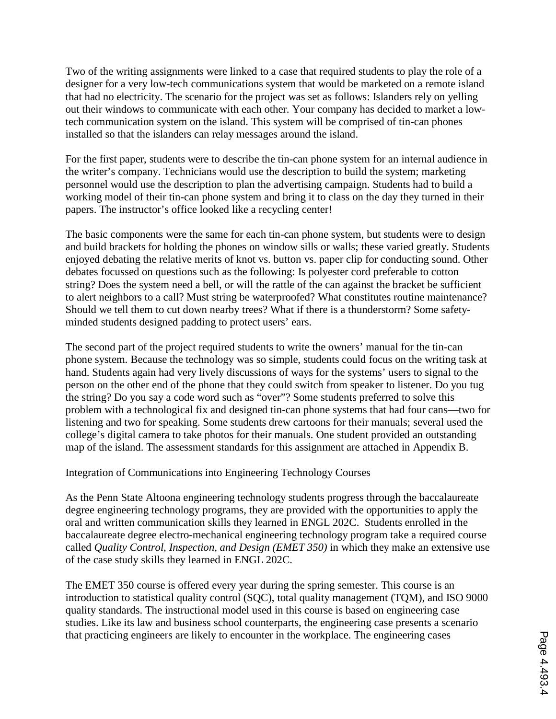Two of the writing assignments were linked to a case that required students to play the role of a designer for a very low-tech communications system that would be marketed on a remote island that had no electricity. The scenario for the project was set as follows: Islanders rely on yelling out their windows to communicate with each other. Your company has decided to market a lowtech communication system on the island. This system will be comprised of tin-can phones installed so that the islanders can relay messages around the island.

For the first paper, students were to describe the tin-can phone system for an internal audience in the writer's company. Technicians would use the description to build the system; marketing personnel would use the description to plan the advertising campaign. Students had to build a working model of their tin-can phone system and bring it to class on the day they turned in their papers. The instructor's office looked like a recycling center!

The basic components were the same for each tin-can phone system, but students were to design and build brackets for holding the phones on window sills or walls; these varied greatly. Students enjoyed debating the relative merits of knot vs. button vs. paper clip for conducting sound. Other debates focussed on questions such as the following: Is polyester cord preferable to cotton string? Does the system need a bell, or will the rattle of the can against the bracket be sufficient to alert neighbors to a call? Must string be waterproofed? What constitutes routine maintenance? Should we tell them to cut down nearby trees? What if there is a thunderstorm? Some safetyminded students designed padding to protect users' ears.

The second part of the project required students to write the owners' manual for the tin-can phone system. Because the technology was so simple, students could focus on the writing task at hand. Students again had very lively discussions of ways for the systems' users to signal to the person on the other end of the phone that they could switch from speaker to listener. Do you tug the string? Do you say a code word such as "over"? Some students preferred to solve this problem with a technological fix and designed tin-can phone systems that had four cans—two for listening and two for speaking. Some students drew cartoons for their manuals; several used the college's digital camera to take photos for their manuals. One student provided an outstanding map of the island. The assessment standards for this assignment are attached in Appendix B.

Integration of Communications into Engineering Technology Courses

As the Penn State Altoona engineering technology students progress through the baccalaureate degree engineering technology programs, they are provided with the opportunities to apply the oral and written communication skills they learned in ENGL 202C. Students enrolled in the baccalaureate degree electro-mechanical engineering technology program take a required course called *Quality Control, Inspection, and Design (EMET 350)* in which they make an extensive use of the case study skills they learned in ENGL 202C.

The EMET 350 course is offered every year during the spring semester. This course is an introduction to statistical quality control (SQC), total quality management (TQM), and ISO 9000 quality standards. The instructional model used in this course is based on engineering case studies. Like its law and business school counterparts, the engineering case presents a scenario that practicing engineers are likely to encounter in the workplace. The engineering cases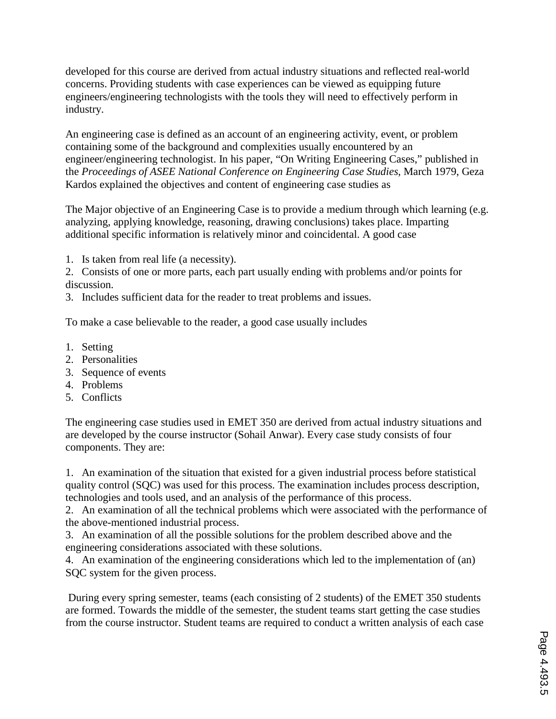developed for this course are derived from actual industry situations and reflected real-world concerns. Providing students with case experiences can be viewed as equipping future engineers/engineering technologists with the tools they will need to effectively perform in industry.

An engineering case is defined as an account of an engineering activity, event, or problem containing some of the background and complexities usually encountered by an engineer/engineering technologist. In his paper, "On Writing Engineering Cases," published in the *Proceedings of ASEE National Conference on Engineering Case Studies*, March 1979, Geza Kardos explained the objectives and content of engineering case studies as

The Major objective of an Engineering Case is to provide a medium through which learning (e.g. analyzing, applying knowledge, reasoning, drawing conclusions) takes place. Imparting additional specific information is relatively minor and coincidental. A good case

1. Is taken from real life (a necessity).

2. Consists of one or more parts, each part usually ending with problems and/or points for discussion.

3. Includes sufficient data for the reader to treat problems and issues.

To make a case believable to the reader, a good case usually includes

- 1. Setting
- 2. Personalities
- 3. Sequence of events
- 4. Problems
- 5. Conflicts

The engineering case studies used in EMET 350 are derived from actual industry situations and are developed by the course instructor (Sohail Anwar). Every case study consists of four components. They are:

1. An examination of the situation that existed for a given industrial process before statistical quality control (SQC) was used for this process. The examination includes process description, technologies and tools used, and an analysis of the performance of this process.

2. An examination of all the technical problems which were associated with the performance of the above-mentioned industrial process.

3. An examination of all the possible solutions for the problem described above and the engineering considerations associated with these solutions.

4. An examination of the engineering considerations which led to the implementation of (an) SQC system for the given process.

 During every spring semester, teams (each consisting of 2 students) of the EMET 350 students are formed. Towards the middle of the semester, the student teams start getting the case studies from the course instructor. Student teams are required to conduct a written analysis of each case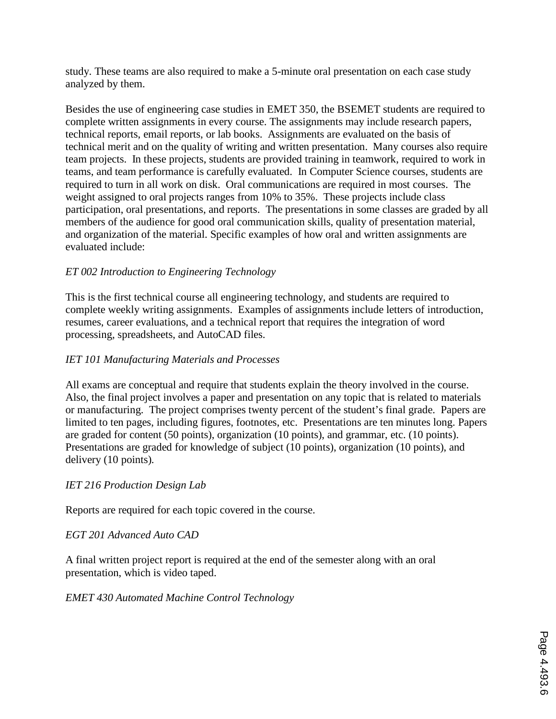study. These teams are also required to make a 5-minute oral presentation on each case study analyzed by them.

Besides the use of engineering case studies in EMET 350, the BSEMET students are required to complete written assignments in every course. The assignments may include research papers, technical reports, email reports, or lab books. Assignments are evaluated on the basis of technical merit and on the quality of writing and written presentation. Many courses also require team projects. In these projects, students are provided training in teamwork, required to work in teams, and team performance is carefully evaluated. In Computer Science courses, students are required to turn in all work on disk. Oral communications are required in most courses. The weight assigned to oral projects ranges from 10% to 35%. These projects include class participation, oral presentations, and reports. The presentations in some classes are graded by all members of the audience for good oral communication skills, quality of presentation material, and organization of the material. Specific examples of how oral and written assignments are evaluated include:

## *ET 002 Introduction to Engineering Technology*

This is the first technical course all engineering technology, and students are required to complete weekly writing assignments. Examples of assignments include letters of introduction, resumes, career evaluations, and a technical report that requires the integration of word processing, spreadsheets, and AutoCAD files.

### *IET 101 Manufacturing Materials and Processes*

All exams are conceptual and require that students explain the theory involved in the course. Also, the final project involves a paper and presentation on any topic that is related to materials or manufacturing. The project comprises twenty percent of the student's final grade. Papers are limited to ten pages, including figures, footnotes, etc. Presentations are ten minutes long. Papers are graded for content (50 points), organization (10 points), and grammar, etc. (10 points). Presentations are graded for knowledge of subject (10 points), organization (10 points), and delivery (10 points).

#### *IET 216 Production Design Lab*

Reports are required for each topic covered in the course.

### *EGT 201 Advanced Auto CAD*

A final written project report is required at the end of the semester along with an oral presentation, which is video taped.

#### *EMET 430 Automated Machine Control Technology*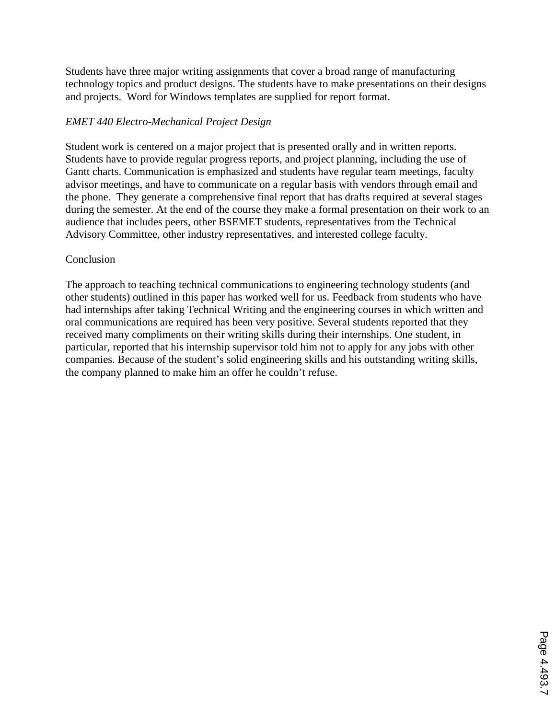Students have three major writing assignments that cover a broad range of manufacturing technology topics and product designs. The students have to make presentations on their designs and projects. Word for Windows templates are supplied for report format.

### *EMET 440 Electro-Mechanical Project Design*

Student work is centered on a major project that is presented orally and in written reports. Students have to provide regular progress reports, and project planning, including the use of Gantt charts. Communication is emphasized and students have regular team meetings, faculty advisor meetings, and have to communicate on a regular basis with vendors through email and the phone. They generate a comprehensive final report that has drafts required at several stages during the semester. At the end of the course they make a formal presentation on their work to an audience that includes peers, other BSEMET students, representatives from the Technical Advisory Committee, other industry representatives, and interested college faculty.

### **Conclusion**

The approach to teaching technical communications to engineering technology students (and other students) outlined in this paper has worked well for us. Feedback from students who have had internships after taking Technical Writing and the engineering courses in which written and oral communications are required has been very positive. Several students reported that they received many compliments on their writing skills during their internships. One student, in particular, reported that his internship supervisor told him not to apply for any jobs with other companies. Because of the student's solid engineering skills and his outstanding writing skills, the company planned to make him an offer he couldn't refuse.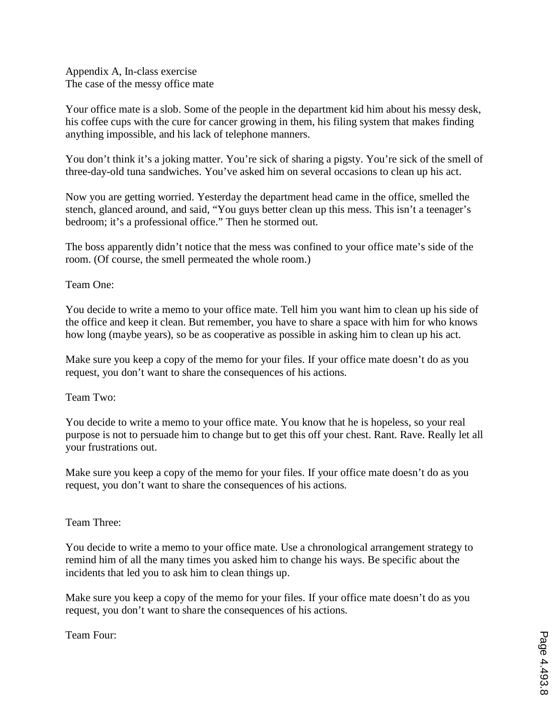Appendix A, In-class exercise The case of the messy office mate

Your office mate is a slob. Some of the people in the department kid him about his messy desk, his coffee cups with the cure for cancer growing in them, his filing system that makes finding anything impossible, and his lack of telephone manners.

You don't think it's a joking matter. You're sick of sharing a pigsty. You're sick of the smell of three-day-old tuna sandwiches. You've asked him on several occasions to clean up his act.

Now you are getting worried. Yesterday the department head came in the office, smelled the stench, glanced around, and said, "You guys better clean up this mess. This isn't a teenager's bedroom; it's a professional office." Then he stormed out.

The boss apparently didn't notice that the mess was confined to your office mate's side of the room. (Of course, the smell permeated the whole room.)

Team One:

You decide to write a memo to your office mate. Tell him you want him to clean up his side of the office and keep it clean. But remember, you have to share a space with him for who knows how long (maybe years), so be as cooperative as possible in asking him to clean up his act.

Make sure you keep a copy of the memo for your files. If your office mate doesn't do as you request, you don't want to share the consequences of his actions.

Team Two:

You decide to write a memo to your office mate. You know that he is hopeless, so your real purpose is not to persuade him to change but to get this off your chest. Rant. Rave. Really let all your frustrations out.

Make sure you keep a copy of the memo for your files. If your office mate doesn't do as you request, you don't want to share the consequences of his actions.

Team Three:

You decide to write a memo to your office mate. Use a chronological arrangement strategy to remind him of all the many times you asked him to change his ways. Be specific about the incidents that led you to ask him to clean things up.

Make sure you keep a copy of the memo for your files. If your office mate doesn't do as you request, you don't want to share the consequences of his actions.

Team Four: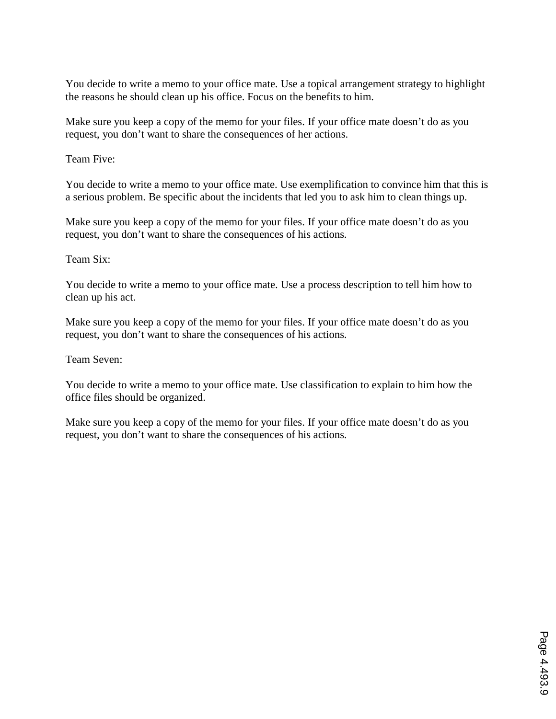You decide to write a memo to your office mate. Use a topical arrangement strategy to highlight the reasons he should clean up his office. Focus on the benefits to him.

Make sure you keep a copy of the memo for your files. If your office mate doesn't do as you request, you don't want to share the consequences of her actions.

Team Five:

You decide to write a memo to your office mate. Use exemplification to convince him that this is a serious problem. Be specific about the incidents that led you to ask him to clean things up.

Make sure you keep a copy of the memo for your files. If your office mate doesn't do as you request, you don't want to share the consequences of his actions.

Team Six:

You decide to write a memo to your office mate. Use a process description to tell him how to clean up his act.

Make sure you keep a copy of the memo for your files. If your office mate doesn't do as you request, you don't want to share the consequences of his actions.

Team Seven:

You decide to write a memo to your office mate. Use classification to explain to him how the office files should be organized.

Make sure you keep a copy of the memo for your files. If your office mate doesn't do as you request, you don't want to share the consequences of his actions.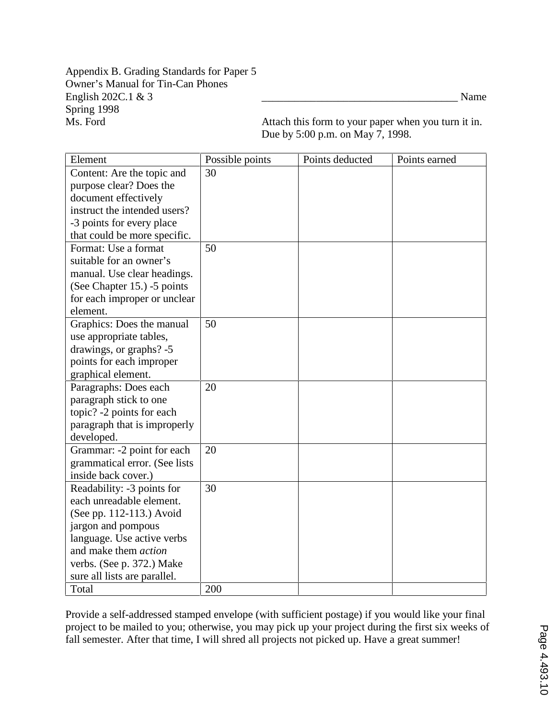Appendix B. Grading Standards for Paper 5 Owner's Manual for Tin-Can Phones English 202C.1 & 3 \_\_\_\_\_\_\_\_\_\_\_\_\_\_\_\_\_\_\_\_\_\_\_\_\_\_\_\_\_\_\_\_\_\_\_\_ Name Spring 1998<br>Ms. Ford

Attach this form to your paper when you turn it in. Due by 5:00 p.m. on May 7, 1998.

| Element                       | Possible points | Points deducted | Points earned |
|-------------------------------|-----------------|-----------------|---------------|
| Content: Are the topic and    | 30              |                 |               |
| purpose clear? Does the       |                 |                 |               |
| document effectively          |                 |                 |               |
| instruct the intended users?  |                 |                 |               |
| -3 points for every place     |                 |                 |               |
| that could be more specific.  |                 |                 |               |
| Format: Use a format          | 50              |                 |               |
| suitable for an owner's       |                 |                 |               |
| manual. Use clear headings.   |                 |                 |               |
| (See Chapter 15.) -5 points   |                 |                 |               |
| for each improper or unclear  |                 |                 |               |
| element.                      |                 |                 |               |
| Graphics: Does the manual     | 50              |                 |               |
| use appropriate tables,       |                 |                 |               |
| drawings, or graphs? -5       |                 |                 |               |
| points for each improper      |                 |                 |               |
| graphical element.            |                 |                 |               |
| Paragraphs: Does each         | 20              |                 |               |
| paragraph stick to one        |                 |                 |               |
| topic? -2 points for each     |                 |                 |               |
| paragraph that is improperly  |                 |                 |               |
| developed.                    |                 |                 |               |
| Grammar: -2 point for each    | 20              |                 |               |
| grammatical error. (See lists |                 |                 |               |
| inside back cover.)           |                 |                 |               |
| Readability: -3 points for    | 30              |                 |               |
| each unreadable element.      |                 |                 |               |
| (See pp. 112-113.) Avoid      |                 |                 |               |
| jargon and pompous            |                 |                 |               |
| language. Use active verbs    |                 |                 |               |
| and make them <i>action</i>   |                 |                 |               |
| verbs. (See p. 372.) Make     |                 |                 |               |
| sure all lists are parallel.  |                 |                 |               |
| Total                         | 200             |                 |               |

Provide a self-addressed stamped envelope (with sufficient postage) if you would like your final project to be mailed to you; otherwise, you may pick up your project during the first six weeks of fall semester. After that time, I will shred all projects not picked up. Have a great summer!